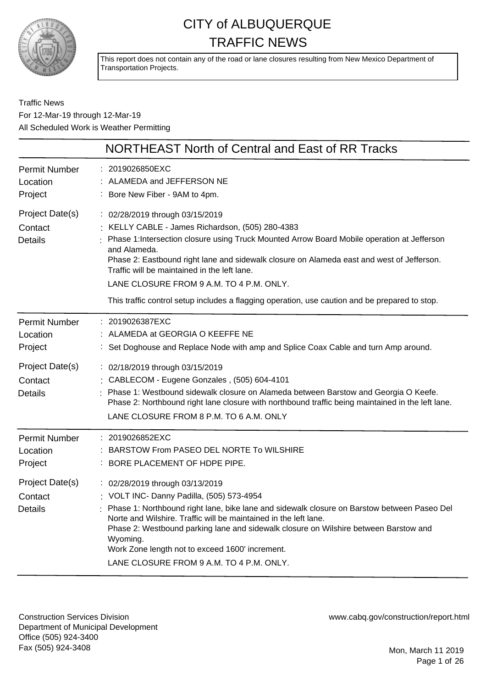

This report does not contain any of the road or lane closures resulting from New Mexico Department of Transportation Projects.

Traffic News For 12-Mar-19 through 12-Mar-19 All Scheduled Work is Weather Permitting

|                                              | NORTHEAST North of Central and East of RR Tracks                                                                                                                                                                                                                                                                                                                                                                                                                                                |
|----------------------------------------------|-------------------------------------------------------------------------------------------------------------------------------------------------------------------------------------------------------------------------------------------------------------------------------------------------------------------------------------------------------------------------------------------------------------------------------------------------------------------------------------------------|
| <b>Permit Number</b><br>Location<br>Project  | : 2019026850EXC<br>: ALAMEDA and JEFFERSON NE<br>: Bore New Fiber - 9AM to 4pm.                                                                                                                                                                                                                                                                                                                                                                                                                 |
| Project Date(s)<br>Contact<br><b>Details</b> | : 02/28/2019 through 03/15/2019<br>: KELLY CABLE - James Richardson, (505) 280-4383<br>: Phase 1: Intersection closure using Truck Mounted Arrow Board Mobile operation at Jefferson<br>and Alameda.<br>Phase 2: Eastbound right lane and sidewalk closure on Alameda east and west of Jefferson.<br>Traffic will be maintained in the left lane.<br>LANE CLOSURE FROM 9 A.M. TO 4 P.M. ONLY.<br>This traffic control setup includes a flagging operation, use caution and be prepared to stop. |
| <b>Permit Number</b><br>Location<br>Project  | : 2019026387EXC<br>: ALAMEDA at GEORGIA O KEEFFE NE<br>: Set Doghouse and Replace Node with amp and Splice Coax Cable and turn Amp around.                                                                                                                                                                                                                                                                                                                                                      |
| Project Date(s)<br>Contact<br><b>Details</b> | : 02/18/2019 through 03/15/2019<br>: CABLECOM - Eugene Gonzales, (505) 604-4101<br>Phase 1: Westbound sidewalk closure on Alameda between Barstow and Georgia O Keefe.<br>Phase 2: Northbound right lane closure with northbound traffic being maintained in the left lane.<br>LANE CLOSURE FROM 8 P.M. TO 6 A.M. ONLY                                                                                                                                                                          |
| <b>Permit Number</b><br>Location<br>Project  | : 2019026852EXC<br>: BARSTOW From PASEO DEL NORTE To WILSHIRE<br>: BORE PLACEMENT OF HDPE PIPE.                                                                                                                                                                                                                                                                                                                                                                                                 |
| Project Date(s)<br>Contact<br>Details        | : 02/28/2019 through 03/13/2019<br>: VOLT INC- Danny Padilla, (505) 573-4954<br>Phase 1: Northbound right lane, bike lane and sidewalk closure on Barstow between Paseo Del<br>Norte and Wilshire. Traffic will be maintained in the left lane.<br>Phase 2: Westbound parking lane and sidewalk closure on Wilshire between Barstow and<br>Wyoming.<br>Work Zone length not to exceed 1600' increment.<br>LANE CLOSURE FROM 9 A.M. TO 4 P.M. ONLY.                                              |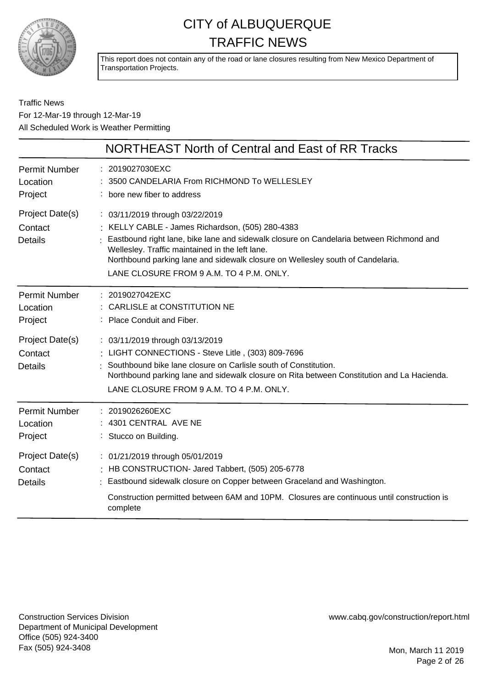

This report does not contain any of the road or lane closures resulting from New Mexico Department of Transportation Projects.

#### Traffic News For 12-Mar-19 through 12-Mar-19 All Scheduled Work is Weather Permitting

|                                                                                             | NORTHEAST North of Central and East of RR Tracks                                                                                                                                                                                                                                                                                                                                  |
|---------------------------------------------------------------------------------------------|-----------------------------------------------------------------------------------------------------------------------------------------------------------------------------------------------------------------------------------------------------------------------------------------------------------------------------------------------------------------------------------|
| <b>Permit Number</b><br>Location<br>Project                                                 | : 2019027030EXC<br>3500 CANDELARIA From RICHMOND To WELLESLEY<br>: bore new fiber to address                                                                                                                                                                                                                                                                                      |
| Project Date(s)<br>Contact<br><b>Details</b>                                                | : 03/11/2019 through 03/22/2019<br>: KELLY CABLE - James Richardson, (505) 280-4383<br>Eastbound right lane, bike lane and sidewalk closure on Candelaria between Richmond and<br>Wellesley. Traffic maintained in the left lane.<br>Northbound parking lane and sidewalk closure on Wellesley south of Candelaria.<br>LANE CLOSURE FROM 9 A.M. TO 4 P.M. ONLY.                   |
| <b>Permit Number</b><br>Location<br>Project<br>Project Date(s)<br>Contact<br><b>Details</b> | : 2019027042EXC<br>CARLISLE at CONSTITUTION NE<br>: Place Conduit and Fiber.<br>: 03/11/2019 through 03/13/2019<br>: LIGHT CONNECTIONS - Steve Litle, (303) 809-7696<br>Southbound bike lane closure on Carlisle south of Constitution.<br>Northbound parking lane and sidewalk closure on Rita between Constitution and La Hacienda.<br>LANE CLOSURE FROM 9 A.M. TO 4 P.M. ONLY. |
| <b>Permit Number</b><br>Location<br>Project                                                 | : 2019026260EXC<br>4301 CENTRAL AVE NE<br>: Stucco on Building.                                                                                                                                                                                                                                                                                                                   |
| Project Date(s)<br>Contact<br><b>Details</b>                                                | : 01/21/2019 through 05/01/2019<br>: HB CONSTRUCTION- Jared Tabbert, (505) 205-6778<br>: Eastbound sidewalk closure on Copper between Graceland and Washington.<br>Construction permitted between 6AM and 10PM. Closures are continuous until construction is<br>complete                                                                                                         |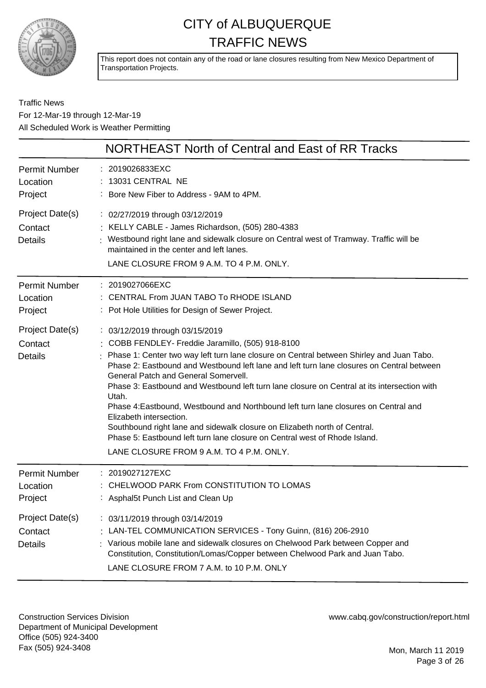

This report does not contain any of the road or lane closures resulting from New Mexico Department of Transportation Projects.

#### Traffic News For 12-Mar-19 through 12-Mar-19 All Scheduled Work is Weather Permitting

|                                              | NORTHEAST North of Central and East of RR Tracks                                                                                                                                                                                                                                                                                                                                                                                                                                                                                                                                                                                                                                                                                                                |
|----------------------------------------------|-----------------------------------------------------------------------------------------------------------------------------------------------------------------------------------------------------------------------------------------------------------------------------------------------------------------------------------------------------------------------------------------------------------------------------------------------------------------------------------------------------------------------------------------------------------------------------------------------------------------------------------------------------------------------------------------------------------------------------------------------------------------|
| <b>Permit Number</b><br>Location<br>Project  | : 2019026833EXC<br>13031 CENTRAL NE<br>: Bore New Fiber to Address - 9AM to 4PM.                                                                                                                                                                                                                                                                                                                                                                                                                                                                                                                                                                                                                                                                                |
| Project Date(s)<br>Contact<br><b>Details</b> | : 02/27/2019 through 03/12/2019<br>: KELLY CABLE - James Richardson, (505) 280-4383<br>: Westbound right lane and sidewalk closure on Central west of Tramway. Traffic will be<br>maintained in the center and left lanes.<br>LANE CLOSURE FROM 9 A.M. TO 4 P.M. ONLY.                                                                                                                                                                                                                                                                                                                                                                                                                                                                                          |
| Permit Number<br>Location<br>Project         | : 2019027066EXC<br>: CENTRAL From JUAN TABO To RHODE ISLAND<br>: Pot Hole Utilities for Design of Sewer Project.                                                                                                                                                                                                                                                                                                                                                                                                                                                                                                                                                                                                                                                |
| Project Date(s)<br>Contact<br><b>Details</b> | : 03/12/2019 through 03/15/2019<br>: COBB FENDLEY- Freddie Jaramillo, (505) 918-8100<br>: Phase 1: Center two way left turn lane closure on Central between Shirley and Juan Tabo.<br>Phase 2: Eastbound and Westbound left lane and left turn lane closures on Central between<br><b>General Patch and General Somervell.</b><br>Phase 3: Eastbound and Westbound left turn lane closure on Central at its intersection with<br>Utah.<br>Phase 4: Eastbound, Westbound and Northbound left turn lane closures on Central and<br>Elizabeth intersection.<br>Southbound right lane and sidewalk closure on Elizabeth north of Central.<br>Phase 5: Eastbound left turn lane closure on Central west of Rhode Island.<br>LANE CLOSURE FROM 9 A.M. TO 4 P.M. ONLY. |
| Permit Number<br>Location<br>Project         | : 2019027127EXC<br>CHELWOOD PARK From CONSTITUTION TO LOMAS<br>: Asphal5t Punch List and Clean Up                                                                                                                                                                                                                                                                                                                                                                                                                                                                                                                                                                                                                                                               |
| Project Date(s)<br>Contact<br><b>Details</b> | : 03/11/2019 through 03/14/2019<br>: LAN-TEL COMMUNICATION SERVICES - Tony Guinn, (816) 206-2910<br>Various mobile lane and sidewalk closures on Chelwood Park between Copper and<br>Constitution, Constitution/Lomas/Copper between Chelwood Park and Juan Tabo.<br>LANE CLOSURE FROM 7 A.M. to 10 P.M. ONLY                                                                                                                                                                                                                                                                                                                                                                                                                                                   |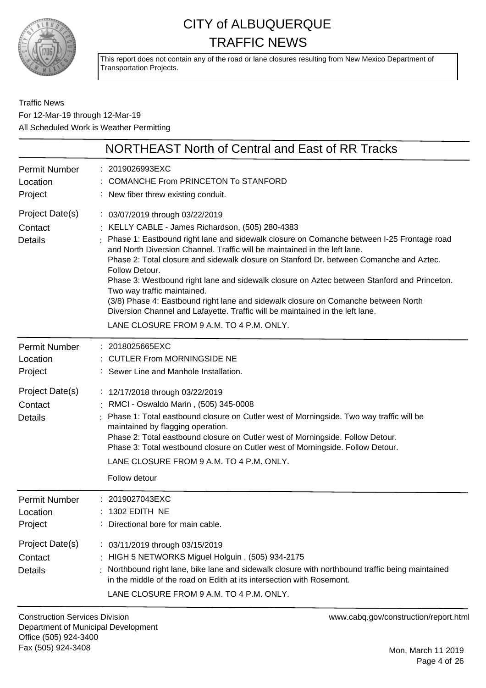

This report does not contain any of the road or lane closures resulting from New Mexico Department of Transportation Projects.

Traffic News For 12-Mar-19 through 12-Mar-19 All Scheduled Work is Weather Permitting

|                                              | NORTHEAST North of Central and East of RR Tracks                                                                                                                                                                                                                                                                                                                                                                                                                                                                                                                                                                                                                                                                              |
|----------------------------------------------|-------------------------------------------------------------------------------------------------------------------------------------------------------------------------------------------------------------------------------------------------------------------------------------------------------------------------------------------------------------------------------------------------------------------------------------------------------------------------------------------------------------------------------------------------------------------------------------------------------------------------------------------------------------------------------------------------------------------------------|
| <b>Permit Number</b><br>Location<br>Project  | : 2019026993EXC<br><b>COMANCHE From PRINCETON To STANFORD</b><br>: New fiber threw existing conduit.                                                                                                                                                                                                                                                                                                                                                                                                                                                                                                                                                                                                                          |
| Project Date(s)<br>Contact<br><b>Details</b> | : 03/07/2019 through 03/22/2019<br>: KELLY CABLE - James Richardson, (505) 280-4383<br>: Phase 1: Eastbound right lane and sidewalk closure on Comanche between I-25 Frontage road<br>and North Diversion Channel. Traffic will be maintained in the left lane.<br>Phase 2: Total closure and sidewalk closure on Stanford Dr. between Comanche and Aztec.<br>Follow Detour.<br>Phase 3: Westbound right lane and sidewalk closure on Aztec between Stanford and Princeton.<br>Two way traffic maintained.<br>(3/8) Phase 4: Eastbound right lane and sidewalk closure on Comanche between North<br>Diversion Channel and Lafayette. Traffic will be maintained in the left lane.<br>LANE CLOSURE FROM 9 A.M. TO 4 P.M. ONLY. |
| <b>Permit Number</b><br>Location<br>Project  | : 2018025665EXC<br><b>CUTLER From MORNINGSIDE NE</b><br>: Sewer Line and Manhole Installation.                                                                                                                                                                                                                                                                                                                                                                                                                                                                                                                                                                                                                                |
| Project Date(s)<br>Contact<br><b>Details</b> | : 12/17/2018 through 03/22/2019<br>: RMCI - Oswaldo Marin, (505) 345-0008<br>Phase 1: Total eastbound closure on Cutler west of Morningside. Two way traffic will be<br>maintained by flagging operation.<br>Phase 2: Total eastbound closure on Cutler west of Morningside. Follow Detour.<br>Phase 3: Total westbound closure on Cutler west of Morningside. Follow Detour.<br>LANE CLOSURE FROM 9 A.M. TO 4 P.M. ONLY.<br>Follow detour                                                                                                                                                                                                                                                                                    |
| <b>Permit Number</b><br>Location<br>Project  | : 2019027043EXC<br>1302 EDITH NE<br>Directional bore for main cable.                                                                                                                                                                                                                                                                                                                                                                                                                                                                                                                                                                                                                                                          |
| Project Date(s)<br>Contact<br><b>Details</b> | : 03/11/2019 through 03/15/2019<br>HIGH 5 NETWORKS Miguel Holguin, (505) 934-2175<br>Northbound right lane, bike lane and sidewalk closure with northbound traffic being maintained<br>in the middle of the road on Edith at its intersection with Rosemont.<br>LANE CLOSURE FROM 9 A.M. TO 4 P.M. ONLY.                                                                                                                                                                                                                                                                                                                                                                                                                      |

Construction Services Division Department of Municipal Development Office (505) 924-3400 Fax (505) 924-3408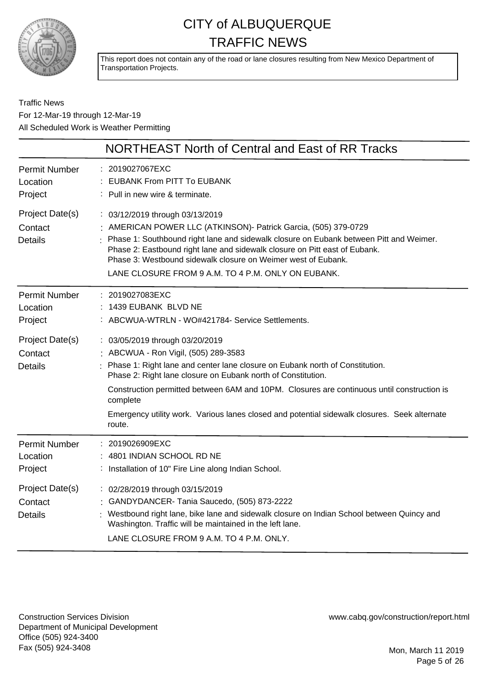

This report does not contain any of the road or lane closures resulting from New Mexico Department of Transportation Projects.

Traffic News For 12-Mar-19 through 12-Mar-19 All Scheduled Work is Weather Permitting

|                                              | NORTHEAST North of Central and East of RR Tracks                                                                                                                                                                                                                                                                                                                                                                                            |
|----------------------------------------------|---------------------------------------------------------------------------------------------------------------------------------------------------------------------------------------------------------------------------------------------------------------------------------------------------------------------------------------------------------------------------------------------------------------------------------------------|
| <b>Permit Number</b><br>Location<br>Project  | 2019027067EXC<br>EUBANK From PITT To EUBANK<br>: Pull in new wire & terminate.                                                                                                                                                                                                                                                                                                                                                              |
| Project Date(s)<br>Contact<br><b>Details</b> | : 03/12/2019 through 03/13/2019<br>AMERICAN POWER LLC (ATKINSON)- Patrick Garcia, (505) 379-0729<br>Phase 1: Southbound right lane and sidewalk closure on Eubank between Pitt and Weimer.<br>Phase 2: Eastbound right lane and sidewalk closure on Pitt east of Eubank.<br>Phase 3: Westbound sidewalk closure on Weimer west of Eubank.<br>LANE CLOSURE FROM 9 A.M. TO 4 P.M. ONLY ON EUBANK.                                             |
| <b>Permit Number</b><br>Location<br>Project  | : 2019027083EXC<br>1439 EUBANK BLVD NE<br>ABCWUA-WTRLN - WO#421784- Service Settlements.                                                                                                                                                                                                                                                                                                                                                    |
| Project Date(s)<br>Contact<br><b>Details</b> | : 03/05/2019 through 03/20/2019<br>: ABCWUA - Ron Vigil, (505) 289-3583<br>Phase 1: Right lane and center lane closure on Eubank north of Constitution.<br>Phase 2: Right lane closure on Eubank north of Constitution.<br>Construction permitted between 6AM and 10PM. Closures are continuous until construction is<br>complete<br>Emergency utility work. Various lanes closed and potential sidewalk closures. Seek alternate<br>route. |
| <b>Permit Number</b><br>Location<br>Project  | 2019026909EXC<br>: 4801 INDIAN SCHOOL RD NE<br>Installation of 10" Fire Line along Indian School.                                                                                                                                                                                                                                                                                                                                           |
| Project Date(s)<br>Contact<br><b>Details</b> | : 02/28/2019 through 03/15/2019<br>GANDYDANCER-Tania Saucedo, (505) 873-2222<br>Westbound right lane, bike lane and sidewalk closure on Indian School between Quincy and<br>Washington. Traffic will be maintained in the left lane.<br>LANE CLOSURE FROM 9 A.M. TO 4 P.M. ONLY.                                                                                                                                                            |

Construction Services Division Department of Municipal Development Office (505) 924-3400 Fax (505) 924-3408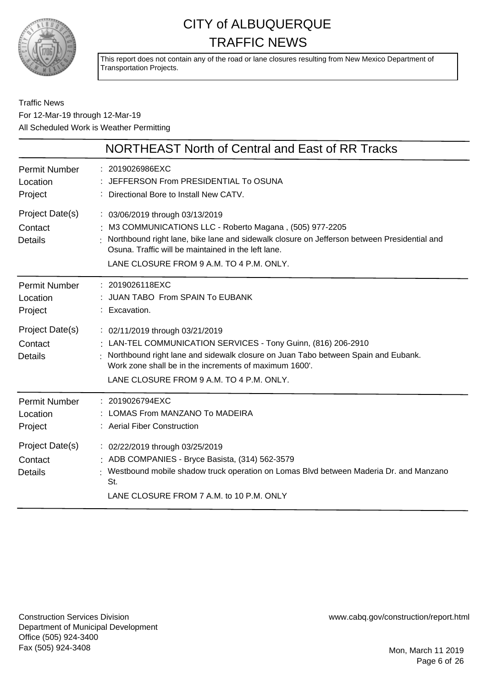

This report does not contain any of the road or lane closures resulting from New Mexico Department of Transportation Projects.

#### Traffic News For 12-Mar-19 through 12-Mar-19 All Scheduled Work is Weather Permitting

|                                              | NORTHEAST North of Central and East of RR Tracks                                                                                                                                                                                                                                              |
|----------------------------------------------|-----------------------------------------------------------------------------------------------------------------------------------------------------------------------------------------------------------------------------------------------------------------------------------------------|
| <b>Permit Number</b><br>Location<br>Project  | : 2019026986EXC<br>: JEFFERSON From PRESIDENTIAL To OSUNA<br>: Directional Bore to Install New CATV.                                                                                                                                                                                          |
| Project Date(s)<br>Contact<br><b>Details</b> | : 03/06/2019 through 03/13/2019<br>: M3 COMMUNICATIONS LLC - Roberto Magana, (505) 977-2205<br>Northbound right lane, bike lane and sidewalk closure on Jefferson between Presidential and<br>Osuna. Traffic will be maintained in the left lane.<br>LANE CLOSURE FROM 9 A.M. TO 4 P.M. ONLY. |
| <b>Permit Number</b><br>Location<br>Project  | : 2019026118EXC<br>JUAN TABO From SPAIN To EUBANK<br>: Excavation.                                                                                                                                                                                                                            |
| Project Date(s)<br>Contact<br><b>Details</b> | : 02/11/2019 through 03/21/2019<br>: LAN-TEL COMMUNICATION SERVICES - Tony Guinn, (816) 206-2910<br>Northbound right lane and sidewalk closure on Juan Tabo between Spain and Eubank.<br>Work zone shall be in the increments of maximum 1600'.<br>LANE CLOSURE FROM 9 A.M. TO 4 P.M. ONLY.   |
| <b>Permit Number</b><br>Location<br>Project  | : 2019026794EXC<br>LOMAS From MANZANO To MADEIRA<br>: Aerial Fiber Construction                                                                                                                                                                                                               |
| Project Date(s)<br>Contact<br><b>Details</b> | : 02/22/2019 through 03/25/2019<br>: ADB COMPANIES - Bryce Basista, (314) 562-3579<br>Westbound mobile shadow truck operation on Lomas Blvd between Maderia Dr. and Manzano<br>St.<br>LANE CLOSURE FROM 7 A.M. to 10 P.M. ONLY                                                                |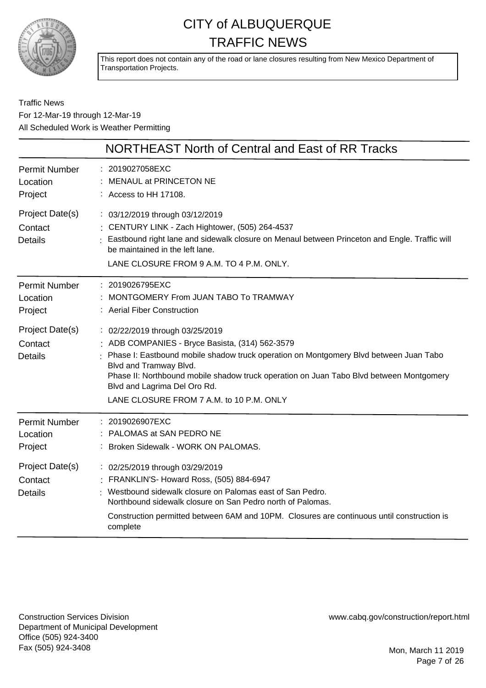

This report does not contain any of the road or lane closures resulting from New Mexico Department of Transportation Projects.

Traffic News For 12-Mar-19 through 12-Mar-19 All Scheduled Work is Weather Permitting

|                                              | NORTHEAST North of Central and East of RR Tracks                                                                                                                                                                                                                                                                                                                             |
|----------------------------------------------|------------------------------------------------------------------------------------------------------------------------------------------------------------------------------------------------------------------------------------------------------------------------------------------------------------------------------------------------------------------------------|
| <b>Permit Number</b><br>Location<br>Project  | : 2019027058EXC<br>MENAUL at PRINCETON NE<br>: Access to HH 17108.                                                                                                                                                                                                                                                                                                           |
| Project Date(s)<br>Contact<br><b>Details</b> | : 03/12/2019 through 03/12/2019<br>: CENTURY LINK - Zach Hightower, (505) 264-4537<br>: Eastbound right lane and sidewalk closure on Menaul between Princeton and Engle. Traffic will<br>be maintained in the left lane.<br>LANE CLOSURE FROM 9 A.M. TO 4 P.M. ONLY.                                                                                                         |
| Permit Number<br>Location<br>Project         | : 2019026795EXC<br>MONTGOMERY From JUAN TABO To TRAMWAY<br>: Aerial Fiber Construction                                                                                                                                                                                                                                                                                       |
| Project Date(s)<br>Contact<br><b>Details</b> | : 02/22/2019 through 03/25/2019<br>: ADB COMPANIES - Bryce Basista, (314) 562-3579<br>Phase I: Eastbound mobile shadow truck operation on Montgomery Blvd between Juan Tabo<br>Blvd and Tramway Blvd.<br>Phase II: Northbound mobile shadow truck operation on Juan Tabo Blvd between Montgomery<br>Blvd and Lagrima Del Oro Rd.<br>LANE CLOSURE FROM 7 A.M. to 10 P.M. ONLY |
| <b>Permit Number</b><br>Location<br>Project  | : 2019026907EXC<br>: PALOMAS at SAN PEDRO NE<br>: Broken Sidewalk - WORK ON PALOMAS.                                                                                                                                                                                                                                                                                         |
| Project Date(s)<br>Contact<br><b>Details</b> | : 02/25/2019 through 03/29/2019<br>: FRANKLIN'S- Howard Ross, (505) 884-6947<br>Westbound sidewalk closure on Palomas east of San Pedro.<br>Northbound sidewalk closure on San Pedro north of Palomas.<br>Construction permitted between 6AM and 10PM. Closures are continuous until construction is<br>complete                                                             |

Construction Services Division Department of Municipal Development Office (505) 924-3400 Fax (505) 924-3408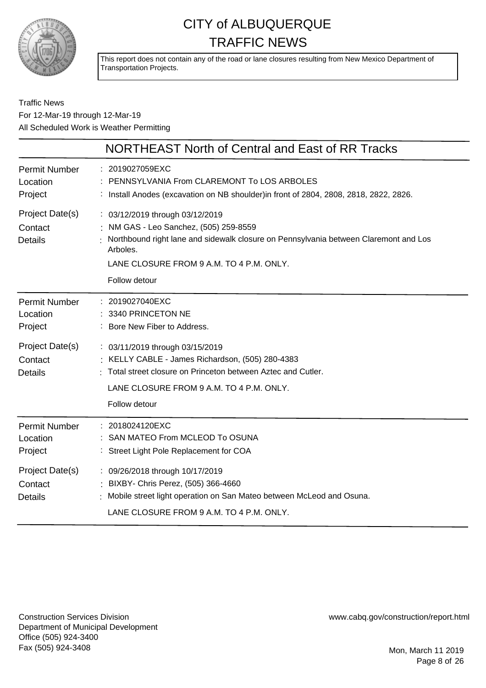

This report does not contain any of the road or lane closures resulting from New Mexico Department of Transportation Projects.

#### Traffic News For 12-Mar-19 through 12-Mar-19 All Scheduled Work is Weather Permitting

|                                              | NORTHEAST North of Central and East of RR Tracks                                                                                                                                                                                           |
|----------------------------------------------|--------------------------------------------------------------------------------------------------------------------------------------------------------------------------------------------------------------------------------------------|
| <b>Permit Number</b><br>Location<br>Project  | : 2019027059EXC<br>PENNSYLVANIA From CLAREMONT To LOS ARBOLES<br>: Install Anodes (excavation on NB shoulder) in front of 2804, 2808, 2818, 2822, 2826.                                                                                    |
| Project Date(s)<br>Contact<br><b>Details</b> | : 03/12/2019 through 03/12/2019<br>: NM GAS - Leo Sanchez, (505) 259-8559<br>Northbound right lane and sidewalk closure on Pennsylvania between Claremont and Los<br>Arboles.<br>LANE CLOSURE FROM 9 A.M. TO 4 P.M. ONLY.<br>Follow detour |
| <b>Permit Number</b><br>Location<br>Project  | : 2019027040EXC<br>: 3340 PRINCETON NE<br>: Bore New Fiber to Address.                                                                                                                                                                     |
| Project Date(s)<br>Contact<br><b>Details</b> | : 03/11/2019 through 03/15/2019<br>: KELLY CABLE - James Richardson, (505) 280-4383<br>: Total street closure on Princeton between Aztec and Cutler.<br>LANE CLOSURE FROM 9 A.M. TO 4 P.M. ONLY.<br>Follow detour                          |
| <b>Permit Number</b><br>Location<br>Project  | : 2018024120EXC<br>SAN MATEO From MCLEOD To OSUNA<br>: Street Light Pole Replacement for COA                                                                                                                                               |
| Project Date(s)<br>Contact<br><b>Details</b> | : 09/26/2018 through 10/17/2019<br>: BIXBY- Chris Perez, (505) 366-4660<br>Mobile street light operation on San Mateo between McLeod and Osuna.<br>LANE CLOSURE FROM 9 A.M. TO 4 P.M. ONLY.                                                |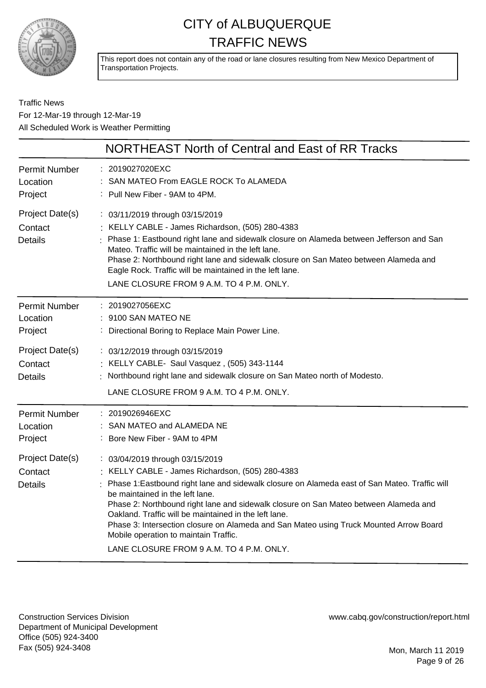

This report does not contain any of the road or lane closures resulting from New Mexico Department of Transportation Projects.

#### Traffic News For 12-Mar-19 through 12-Mar-19 All Scheduled Work is Weather Permitting

|                                              | NORTHEAST North of Central and East of RR Tracks                                                                                                                                                                                                                                                                                                                                                                                                                                                                                                          |
|----------------------------------------------|-----------------------------------------------------------------------------------------------------------------------------------------------------------------------------------------------------------------------------------------------------------------------------------------------------------------------------------------------------------------------------------------------------------------------------------------------------------------------------------------------------------------------------------------------------------|
| <b>Permit Number</b><br>Location<br>Project  | : 2019027020EXC<br>SAN MATEO From EAGLE ROCK To ALAMEDA<br>Pull New Fiber - 9AM to 4PM.                                                                                                                                                                                                                                                                                                                                                                                                                                                                   |
| Project Date(s)<br>Contact<br><b>Details</b> | : 03/11/2019 through 03/15/2019<br>: KELLY CABLE - James Richardson, (505) 280-4383<br>: Phase 1: Eastbound right lane and sidewalk closure on Alameda between Jefferson and San<br>Mateo. Traffic will be maintained in the left lane.<br>Phase 2: Northbound right lane and sidewalk closure on San Mateo between Alameda and<br>Eagle Rock. Traffic will be maintained in the left lane.<br>LANE CLOSURE FROM 9 A.M. TO 4 P.M. ONLY.                                                                                                                   |
| <b>Permit Number</b><br>Location<br>Project  | : 2019027056EXC<br>: 9100 SAN MATEO NE<br>: Directional Boring to Replace Main Power Line.                                                                                                                                                                                                                                                                                                                                                                                                                                                                |
| Project Date(s)<br>Contact<br><b>Details</b> | : 03/12/2019 through 03/15/2019<br>: KELLY CABLE- Saul Vasquez, (505) 343-1144<br>: Northbound right lane and sidewalk closure on San Mateo north of Modesto.<br>LANE CLOSURE FROM 9 A.M. TO 4 P.M. ONLY.                                                                                                                                                                                                                                                                                                                                                 |
| <b>Permit Number</b><br>Location<br>Project  | : 2019026946EXC<br>SAN MATEO and ALAMEDA NE<br>: Bore New Fiber - 9AM to 4PM                                                                                                                                                                                                                                                                                                                                                                                                                                                                              |
| Project Date(s)<br>Contact<br><b>Details</b> | : 03/04/2019 through 03/15/2019<br>: KELLY CABLE - James Richardson, (505) 280-4383<br>: Phase 1: Eastbound right lane and sidewalk closure on Alameda east of San Mateo. Traffic will<br>be maintained in the left lane.<br>Phase 2: Northbound right lane and sidewalk closure on San Mateo between Alameda and<br>Oakland. Traffic will be maintained in the left lane.<br>Phase 3: Intersection closure on Alameda and San Mateo using Truck Mounted Arrow Board<br>Mobile operation to maintain Traffic.<br>LANE CLOSURE FROM 9 A.M. TO 4 P.M. ONLY. |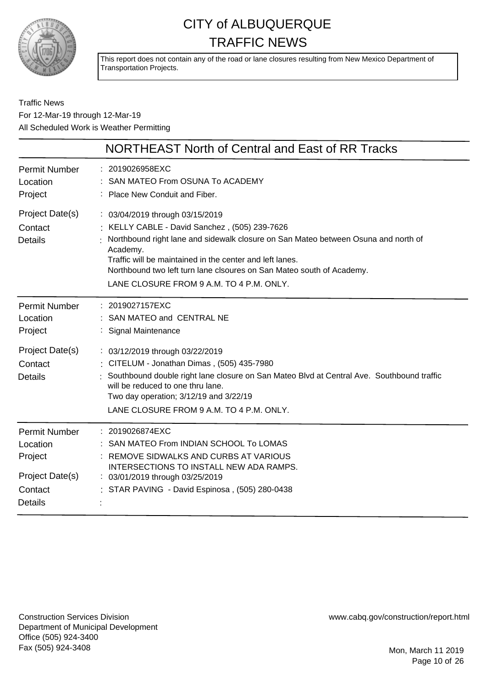

This report does not contain any of the road or lane closures resulting from New Mexico Department of Transportation Projects.

#### Traffic News For 12-Mar-19 through 12-Mar-19 All Scheduled Work is Weather Permitting

|                                              | NORTHEAST North of Central and East of RR Tracks                                                                                                                                                                                                                                                                                                                    |
|----------------------------------------------|---------------------------------------------------------------------------------------------------------------------------------------------------------------------------------------------------------------------------------------------------------------------------------------------------------------------------------------------------------------------|
| <b>Permit Number</b>                         | : 2019026958EXC                                                                                                                                                                                                                                                                                                                                                     |
| Location                                     | SAN MATEO From OSUNA To ACADEMY                                                                                                                                                                                                                                                                                                                                     |
| Project                                      | : Place New Conduit and Fiber.                                                                                                                                                                                                                                                                                                                                      |
| Project Date(s)<br>Contact<br><b>Details</b> | : 03/04/2019 through 03/15/2019<br>: KELLY CABLE - David Sanchez, (505) 239-7626<br>Northbound right lane and sidewalk closure on San Mateo between Osuna and north of<br>Academy.<br>Traffic will be maintained in the center and left lanes.<br>Northbound two left turn lane clsoures on San Mateo south of Academy.<br>LANE CLOSURE FROM 9 A.M. TO 4 P.M. ONLY. |
| <b>Permit Number</b>                         | : 2019027157EXC                                                                                                                                                                                                                                                                                                                                                     |
| Location                                     | SAN MATEO and CENTRAL NE                                                                                                                                                                                                                                                                                                                                            |
| Project                                      | <b>Signal Maintenance</b>                                                                                                                                                                                                                                                                                                                                           |
| Project Date(s)<br>Contact<br><b>Details</b> | : 03/12/2019 through 03/22/2019<br>: CITELUM - Jonathan Dimas, (505) 435-7980<br>Southbound double right lane closure on San Mateo Blvd at Central Ave. Southbound traffic<br>will be reduced to one thru lane.<br>Two day operation; 3/12/19 and 3/22/19<br>LANE CLOSURE FROM 9 A.M. TO 4 P.M. ONLY.                                                               |
| <b>Permit Number</b>                         | 2019026874EXC                                                                                                                                                                                                                                                                                                                                                       |
| Location                                     | SAN MATEO From INDIAN SCHOOL To LOMAS                                                                                                                                                                                                                                                                                                                               |
| Project                                      | REMOVE SIDWALKS AND CURBS AT VARIOUS                                                                                                                                                                                                                                                                                                                                |
| Project Date(s)                              | INTERSECTIONS TO INSTALL NEW ADA RAMPS.                                                                                                                                                                                                                                                                                                                             |
| Contact                                      | : 03/01/2019 through 03/25/2019                                                                                                                                                                                                                                                                                                                                     |
| <b>Details</b>                               | STAR PAVING - David Espinosa, (505) 280-0438                                                                                                                                                                                                                                                                                                                        |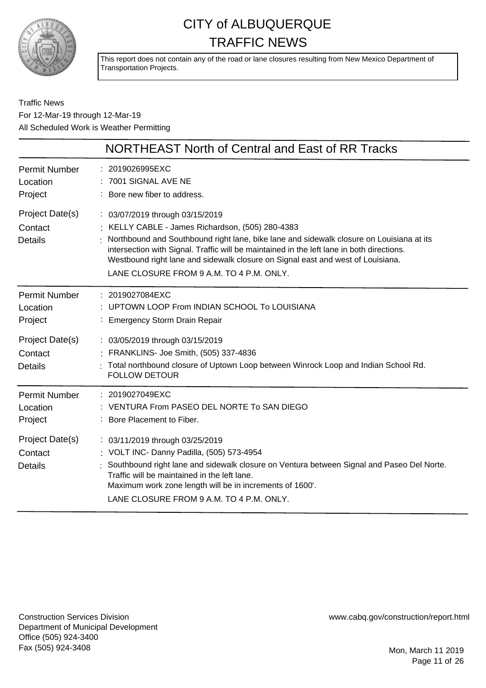

This report does not contain any of the road or lane closures resulting from New Mexico Department of Transportation Projects.

Traffic News For 12-Mar-19 through 12-Mar-19 All Scheduled Work is Weather Permitting

|                                              | NORTHEAST North of Central and East of RR Tracks                                                                                                                                                                                                                                                                                                                                                            |
|----------------------------------------------|-------------------------------------------------------------------------------------------------------------------------------------------------------------------------------------------------------------------------------------------------------------------------------------------------------------------------------------------------------------------------------------------------------------|
| <b>Permit Number</b><br>Location<br>Project  | : 2019026995EXC<br>7001 SIGNAL AVE NE<br>: Bore new fiber to address.                                                                                                                                                                                                                                                                                                                                       |
| Project Date(s)<br>Contact<br><b>Details</b> | : 03/07/2019 through 03/15/2019<br>: KELLY CABLE - James Richardson, (505) 280-4383<br>Northbound and Southbound right lane, bike lane and sidewalk closure on Louisiana at its<br>intersection with Signal. Traffic will be maintained in the left lane in both directions.<br>Westbound right lane and sidewalk closure on Signal east and west of Louisiana.<br>LANE CLOSURE FROM 9 A.M. TO 4 P.M. ONLY. |
| <b>Permit Number</b><br>Location<br>Project  | : 2019027084EXC<br>UPTOWN LOOP From INDIAN SCHOOL To LOUISIANA<br><b>Emergency Storm Drain Repair</b>                                                                                                                                                                                                                                                                                                       |
| Project Date(s)<br>Contact<br><b>Details</b> | : 03/05/2019 through 03/15/2019<br>FRANKLINS- Joe Smith, (505) 337-4836<br>Total northbound closure of Uptown Loop between Winrock Loop and Indian School Rd.<br><b>FOLLOW DETOUR</b>                                                                                                                                                                                                                       |
| <b>Permit Number</b><br>Location<br>Project  | : 2019027049EXC<br>: VENTURA From PASEO DEL NORTE To SAN DIEGO<br>: Bore Placement to Fiber.                                                                                                                                                                                                                                                                                                                |
| Project Date(s)<br>Contact<br><b>Details</b> | : 03/11/2019 through 03/25/2019<br>: VOLT INC- Danny Padilla, (505) 573-4954<br>Southbound right lane and sidewalk closure on Ventura between Signal and Paseo Del Norte.<br>Traffic will be maintained in the left lane.<br>Maximum work zone length will be in increments of 1600'.<br>LANE CLOSURE FROM 9 A.M. TO 4 P.M. ONLY.                                                                           |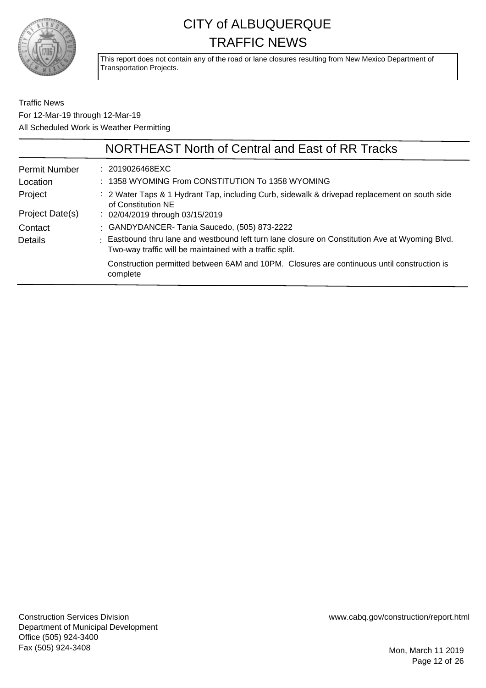

This report does not contain any of the road or lane closures resulting from New Mexico Department of Transportation Projects.

Traffic News For 12-Mar-19 through 12-Mar-19 All Scheduled Work is Weather Permitting

|                      | NORTHEAST North of Central and East of RR Tracks                                                                                                            |
|----------------------|-------------------------------------------------------------------------------------------------------------------------------------------------------------|
| <b>Permit Number</b> | $: 2019026468$ EXC                                                                                                                                          |
| Location             | : 1358 WYOMING From CONSTITUTION To 1358 WYOMING                                                                                                            |
| Project              | : 2 Water Taps & 1 Hydrant Tap, including Curb, sidewalk & drivepad replacement on south side<br>of Constitution NE                                         |
| Project Date(s)      | $\therefore$ 02/04/2019 through 03/15/2019                                                                                                                  |
| Contact              | : GANDYDANCER-Tania Saucedo, (505) 873-2222                                                                                                                 |
| Details              | : Eastbound thru lane and westbound left turn lane closure on Constitution Ave at Wyoming Blvd.<br>Two-way traffic will be maintained with a traffic split. |
|                      | Construction permitted between 6AM and 10PM. Closures are continuous until construction is<br>complete                                                      |
|                      |                                                                                                                                                             |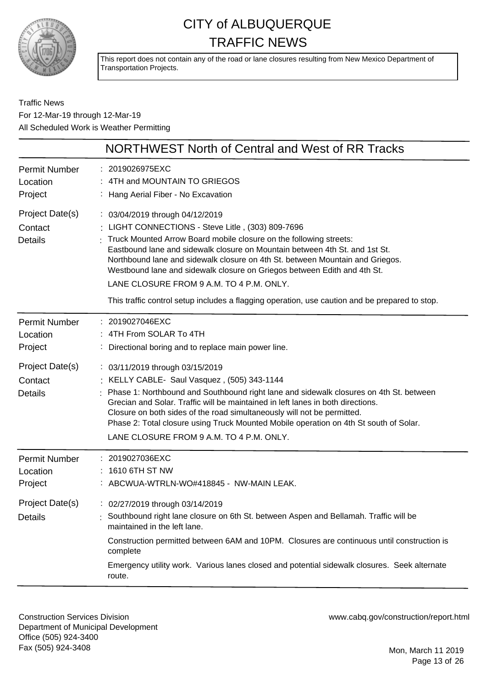

This report does not contain any of the road or lane closures resulting from New Mexico Department of Transportation Projects.

Traffic News For 12-Mar-19 through 12-Mar-19 All Scheduled Work is Weather Permitting

|                                              | NORTHWEST North of Central and West of RR Tracks                                                                                                                                                                                                                                                                                                                                                                                                                                                                                                     |
|----------------------------------------------|------------------------------------------------------------------------------------------------------------------------------------------------------------------------------------------------------------------------------------------------------------------------------------------------------------------------------------------------------------------------------------------------------------------------------------------------------------------------------------------------------------------------------------------------------|
| <b>Permit Number</b><br>Location<br>Project  | : 2019026975EXC<br>: 4TH and MOUNTAIN TO GRIEGOS<br>: Hang Aerial Fiber - No Excavation                                                                                                                                                                                                                                                                                                                                                                                                                                                              |
| Project Date(s)<br>Contact<br><b>Details</b> | : 03/04/2019 through 04/12/2019<br>: LIGHT CONNECTIONS - Steve Litle, (303) 809-7696<br>Truck Mounted Arrow Board mobile closure on the following streets:<br>Eastbound lane and sidewalk closure on Mountain between 4th St. and 1st St.<br>Northbound lane and sidewalk closure on 4th St. between Mountain and Griegos.<br>Westbound lane and sidewalk closure on Griegos between Edith and 4th St.<br>LANE CLOSURE FROM 9 A.M. TO 4 P.M. ONLY.<br>This traffic control setup includes a flagging operation, use caution and be prepared to stop. |
| <b>Permit Number</b><br>Location<br>Project  | : 2019027046EXC<br>: 4TH From SOLAR To 4TH<br>: Directional boring and to replace main power line.                                                                                                                                                                                                                                                                                                                                                                                                                                                   |
| Project Date(s)<br>Contact<br><b>Details</b> | : 03/11/2019 through 03/15/2019<br>: KELLY CABLE- Saul Vasquez, (505) 343-1144<br>Phase 1: Northbound and Southbound right lane and sidewalk closures on 4th St. between<br>Grecian and Solar. Traffic will be maintained in left lanes in both directions.<br>Closure on both sides of the road simultaneously will not be permitted.<br>Phase 2: Total closure using Truck Mounted Mobile operation on 4th St south of Solar.<br>LANE CLOSURE FROM 9 A.M. TO 4 P.M. ONLY.                                                                          |
| <b>Permit Number</b><br>Location<br>Project  | 2019027036EXC<br>1610 6TH ST NW<br>: ABCWUA-WTRLN-WO#418845 - NW-MAIN LEAK.                                                                                                                                                                                                                                                                                                                                                                                                                                                                          |
| Project Date(s)<br><b>Details</b>            | : 02/27/2019 through 03/14/2019<br>Southbound right lane closure on 6th St. between Aspen and Bellamah. Traffic will be<br>maintained in the left lane.<br>Construction permitted between 6AM and 10PM. Closures are continuous until construction is<br>complete<br>Emergency utility work. Various lanes closed and potential sidewalk closures. Seek alternate<br>route.                                                                                                                                                                          |

Construction Services Division Department of Municipal Development Office (505) 924-3400 Fax (505) 924-3408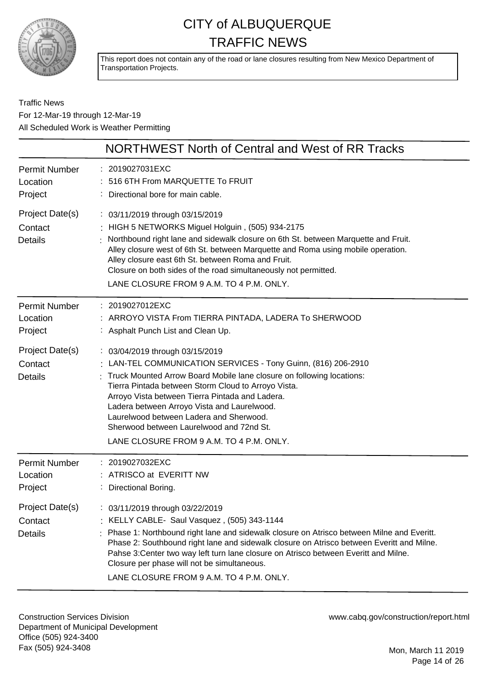

This report does not contain any of the road or lane closures resulting from New Mexico Department of Transportation Projects.

Traffic News For 12-Mar-19 through 12-Mar-19 All Scheduled Work is Weather Permitting

|                                              | NORTHWEST North of Central and West of RR Tracks                                                                                                                                                                                                                                                                                                                                                                                                                      |
|----------------------------------------------|-----------------------------------------------------------------------------------------------------------------------------------------------------------------------------------------------------------------------------------------------------------------------------------------------------------------------------------------------------------------------------------------------------------------------------------------------------------------------|
| <b>Permit Number</b><br>Location<br>Project  | : 2019027031EXC<br>516 6TH From MARQUETTE To FRUIT<br>Directional bore for main cable.                                                                                                                                                                                                                                                                                                                                                                                |
| Project Date(s)<br>Contact<br><b>Details</b> | : 03/11/2019 through 03/15/2019<br>HIGH 5 NETWORKS Miguel Holguin, (505) 934-2175<br>Northbound right lane and sidewalk closure on 6th St. between Marquette and Fruit.<br>Alley closure west of 6th St. between Marquette and Roma using mobile operation.<br>Alley closure east 6th St. between Roma and Fruit.<br>Closure on both sides of the road simultaneously not permitted.<br>LANE CLOSURE FROM 9 A.M. TO 4 P.M. ONLY.                                      |
| <b>Permit Number</b><br>Location<br>Project  | : 2019027012EXC<br>: ARROYO VISTA From TIERRA PINTADA, LADERA To SHERWOOD<br>: Asphalt Punch List and Clean Up.                                                                                                                                                                                                                                                                                                                                                       |
| Project Date(s)<br>Contact<br><b>Details</b> | : 03/04/2019 through 03/15/2019<br>: LAN-TEL COMMUNICATION SERVICES - Tony Guinn, (816) 206-2910<br>Truck Mounted Arrow Board Mobile lane closure on following locations:<br>Tierra Pintada between Storm Cloud to Arroyo Vista.<br>Arroyo Vista between Tierra Pintada and Ladera.<br>Ladera between Arroyo Vista and Laurelwood.<br>Laurelwood between Ladera and Sherwood.<br>Sherwood between Laurelwood and 72nd St.<br>LANE CLOSURE FROM 9 A.M. TO 4 P.M. ONLY. |
| <b>Permit Number</b><br>Location<br>Project  | : 2019027032EXC<br>: ATRISCO at EVERITT NW<br>: Directional Boring.                                                                                                                                                                                                                                                                                                                                                                                                   |
| Project Date(s)<br>Contact<br><b>Details</b> | 03/11/2019 through 03/22/2019<br>: KELLY CABLE- Saul Vasquez, (505) 343-1144<br>: Phase 1: Northbound right lane and sidewalk closure on Atrisco between Milne and Everitt.<br>Phase 2: Southbound right lane and sidewalk closure on Atrisco between Everitt and Milne.<br>Pahse 3: Center two way left turn lane closure on Atrisco between Everitt and Milne.<br>Closure per phase will not be simultaneous.<br>LANE CLOSURE FROM 9 A.M. TO 4 P.M. ONLY.           |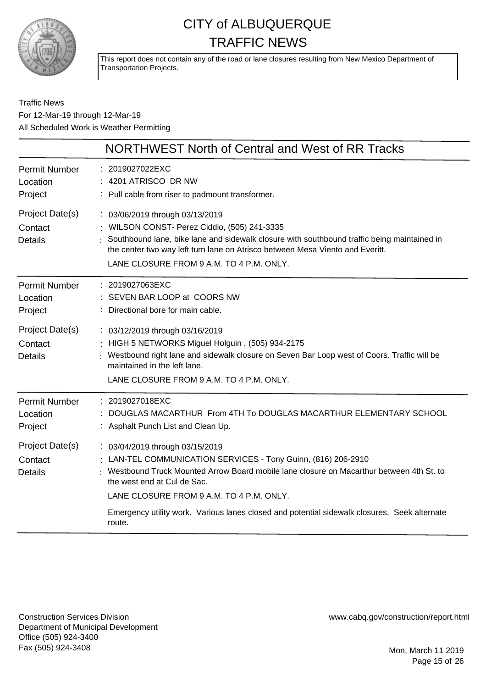

This report does not contain any of the road or lane closures resulting from New Mexico Department of Transportation Projects.

Traffic News For 12-Mar-19 through 12-Mar-19 All Scheduled Work is Weather Permitting

|                                              | NORTHWEST North of Central and West of RR Tracks                                                                                                                                                                                                                                                                                                                                   |
|----------------------------------------------|------------------------------------------------------------------------------------------------------------------------------------------------------------------------------------------------------------------------------------------------------------------------------------------------------------------------------------------------------------------------------------|
| <b>Permit Number</b><br>Location<br>Project  | : 2019027022EXC<br>: 4201 ATRISCO DR NW<br>: Pull cable from riser to padmount transformer.                                                                                                                                                                                                                                                                                        |
| Project Date(s)<br>Contact<br><b>Details</b> | : 03/06/2019 through 03/13/2019<br>: WILSON CONST- Perez Ciddio, (505) 241-3335<br>: Southbound lane, bike lane and sidewalk closure with southbound traffic being maintained in<br>the center two way left turn lane on Atrisco between Mesa Viento and Everitt.<br>LANE CLOSURE FROM 9 A.M. TO 4 P.M. ONLY.                                                                      |
| <b>Permit Number</b><br>Location<br>Project  | : 2019027063EXC<br>: SEVEN BAR LOOP at COORS NW<br>: Directional bore for main cable.                                                                                                                                                                                                                                                                                              |
| Project Date(s)<br>Contact<br><b>Details</b> | : 03/12/2019 through 03/16/2019<br>: HIGH 5 NETWORKS Miguel Holguin, (505) 934-2175<br>: Westbound right lane and sidewalk closure on Seven Bar Loop west of Coors. Traffic will be<br>maintained in the left lane.<br>LANE CLOSURE FROM 9 A.M. TO 4 P.M. ONLY.                                                                                                                    |
| <b>Permit Number</b><br>Location<br>Project  | : 2019027018EXC<br>DOUGLAS MACARTHUR From 4TH To DOUGLAS MACARTHUR ELEMENTARY SCHOOL<br>: Asphalt Punch List and Clean Up.                                                                                                                                                                                                                                                         |
| Project Date(s)<br>Contact<br><b>Details</b> | : 03/04/2019 through 03/15/2019<br>: LAN-TEL COMMUNICATION SERVICES - Tony Guinn, (816) 206-2910<br>: Westbound Truck Mounted Arrow Board mobile lane closure on Macarthur between 4th St. to<br>the west end at Cul de Sac.<br>LANE CLOSURE FROM 9 A.M. TO 4 P.M. ONLY.<br>Emergency utility work. Various lanes closed and potential sidewalk closures. Seek alternate<br>route. |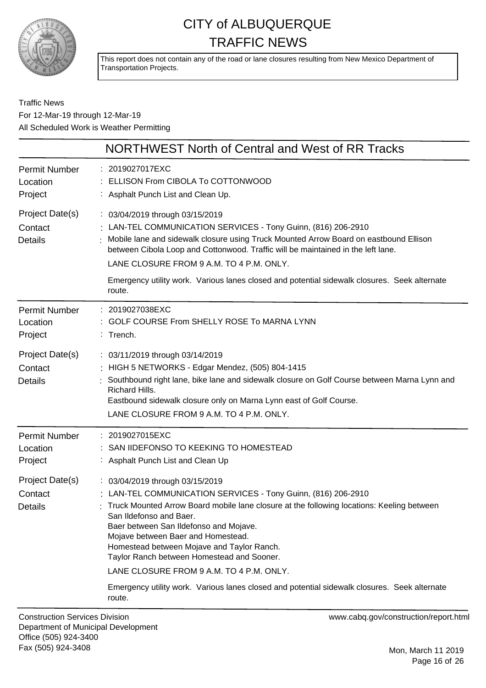

This report does not contain any of the road or lane closures resulting from New Mexico Department of Transportation Projects.

#### Traffic News For 12-Mar-19 through 12-Mar-19 All Scheduled Work is Weather Permitting

|                                              | NORTHWEST North of Central and West of RR Tracks                                                                                                                                                                                                                                                                                                                                                                                                   |
|----------------------------------------------|----------------------------------------------------------------------------------------------------------------------------------------------------------------------------------------------------------------------------------------------------------------------------------------------------------------------------------------------------------------------------------------------------------------------------------------------------|
| <b>Permit Number</b><br>Location<br>Project  | : 2019027017EXC<br>: ELLISON From CIBOLA To COTTONWOOD<br>: Asphalt Punch List and Clean Up.                                                                                                                                                                                                                                                                                                                                                       |
| Project Date(s)<br>Contact<br><b>Details</b> | : 03/04/2019 through 03/15/2019<br>: LAN-TEL COMMUNICATION SERVICES - Tony Guinn, (816) 206-2910<br>Mobile lane and sidewalk closure using Truck Mounted Arrow Board on eastbound Ellison<br>between Cibola Loop and Cottonwood. Traffic will be maintained in the left lane.<br>LANE CLOSURE FROM 9 A.M. TO 4 P.M. ONLY.<br>Emergency utility work. Various lanes closed and potential sidewalk closures. Seek alternate<br>route.                |
| <b>Permit Number</b><br>Location<br>Project  | : 2019027038EXC<br>: GOLF COURSE From SHELLY ROSE To MARNA LYNN<br>$:$ Trench.                                                                                                                                                                                                                                                                                                                                                                     |
| Project Date(s)<br>Contact<br><b>Details</b> | : 03/11/2019 through 03/14/2019<br>: HIGH 5 NETWORKS - Edgar Mendez, (505) 804-1415<br>Southbound right lane, bike lane and sidewalk closure on Golf Course between Marna Lynn and<br>Richard Hills.<br>Eastbound sidewalk closure only on Marna Lynn east of Golf Course.<br>LANE CLOSURE FROM 9 A.M. TO 4 P.M. ONLY.                                                                                                                             |
| <b>Permit Number</b><br>Location<br>Project  | : 2019027015EXC<br>: SAN IIDEFONSO TO KEEKING TO HOMESTEAD<br>: Asphalt Punch List and Clean Up                                                                                                                                                                                                                                                                                                                                                    |
| Project Date(s)<br>Contact<br>Details        | : 03/04/2019 through 03/15/2019<br>: LAN-TEL COMMUNICATION SERVICES - Tony Guinn, (816) 206-2910<br>: Truck Mounted Arrow Board mobile lane closure at the following locations: Keeling between<br>San Ildefonso and Baer.<br>Baer between San Ildefonso and Mojave.<br>Mojave between Baer and Homestead.<br>Homestead between Mojave and Taylor Ranch.<br>Taylor Ranch between Homestead and Sooner.<br>LANE CLOSURE FROM 9 A.M. TO 4 P.M. ONLY. |
|                                              | Emergency utility work. Various lanes closed and potential sidewalk closures. Seek alternate<br>route.                                                                                                                                                                                                                                                                                                                                             |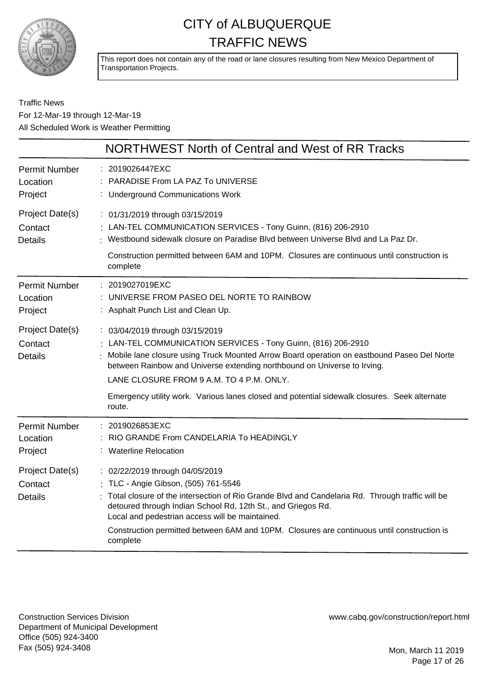

This report does not contain any of the road or lane closures resulting from New Mexico Department of Transportation Projects.

#### Traffic News For 12-Mar-19 through 12-Mar-19 All Scheduled Work is Weather Permitting

|                                              | NORTHWEST North of Central and West of RR Tracks                                                                                                                                                                                                                                                                                                                                                          |
|----------------------------------------------|-----------------------------------------------------------------------------------------------------------------------------------------------------------------------------------------------------------------------------------------------------------------------------------------------------------------------------------------------------------------------------------------------------------|
| <b>Permit Number</b><br>Location<br>Project  | : 2019026447EXC<br>PARADISE From LA PAZ To UNIVERSE<br>: Underground Communications Work                                                                                                                                                                                                                                                                                                                  |
| Project Date(s)<br>Contact<br><b>Details</b> | : 01/31/2019 through 03/15/2019<br>: LAN-TEL COMMUNICATION SERVICES - Tony Guinn, (816) 206-2910<br>: Westbound sidewalk closure on Paradise Blvd between Universe Blvd and La Paz Dr.<br>Construction permitted between 6AM and 10PM. Closures are continuous until construction is<br>complete                                                                                                          |
| <b>Permit Number</b><br>Location<br>Project  | : 2019027019EXC<br>: UNIVERSE FROM PASEO DEL NORTE TO RAINBOW<br>: Asphalt Punch List and Clean Up.                                                                                                                                                                                                                                                                                                       |
| Project Date(s)<br>Contact<br><b>Details</b> | : 03/04/2019 through 03/15/2019<br>: LAN-TEL COMMUNICATION SERVICES - Tony Guinn, (816) 206-2910<br>: Mobile lane closure using Truck Mounted Arrow Board operation on eastbound Paseo Del Norte<br>between Rainbow and Universe extending northbound on Universe to Irving.<br>LANE CLOSURE FROM 9 A.M. TO 4 P.M. ONLY.                                                                                  |
|                                              | Emergency utility work. Various lanes closed and potential sidewalk closures. Seek alternate<br>route.                                                                                                                                                                                                                                                                                                    |
| <b>Permit Number</b><br>Location<br>Project  | : 2019026853EXC<br>RIO GRANDE From CANDELARIA To HEADINGLY<br>: Waterline Relocation                                                                                                                                                                                                                                                                                                                      |
| Project Date(s)<br>Contact<br><b>Details</b> | : 02/22/2019 through 04/05/2019<br>: TLC - Angie Gibson, (505) 761-5546<br>: Total closure of the intersection of Rio Grande Blvd and Candelaria Rd. Through traffic will be<br>detoured through Indian School Rd, 12th St., and Griegos Rd.<br>Local and pedestrian access will be maintained.<br>Construction permitted between 6AM and 10PM. Closures are continuous until construction is<br>complete |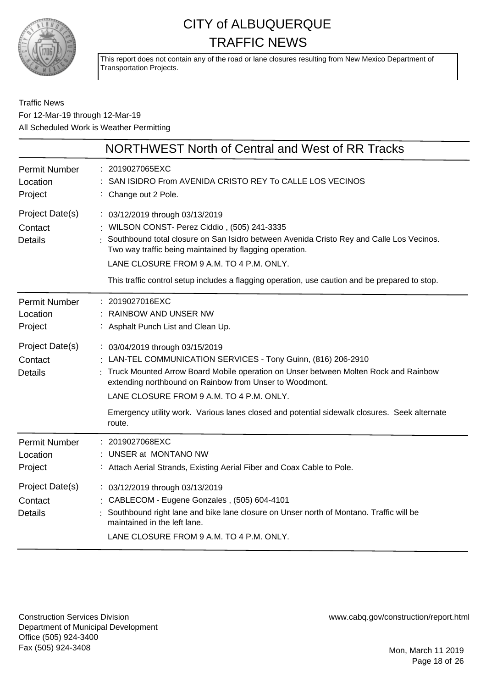

This report does not contain any of the road or lane closures resulting from New Mexico Department of Transportation Projects.

#### Traffic News For 12-Mar-19 through 12-Mar-19 All Scheduled Work is Weather Permitting

|                                              | NORTHWEST North of Central and West of RR Tracks                                                                                                                                                                                                                                                                                                                                                         |
|----------------------------------------------|----------------------------------------------------------------------------------------------------------------------------------------------------------------------------------------------------------------------------------------------------------------------------------------------------------------------------------------------------------------------------------------------------------|
| <b>Permit Number</b><br>Location<br>Project  | : 2019027065EXC<br>SAN ISIDRO From AVENIDA CRISTO REY To CALLE LOS VECINOS<br>: Change out 2 Pole.                                                                                                                                                                                                                                                                                                       |
| Project Date(s)<br>Contact<br><b>Details</b> | : 03/12/2019 through 03/13/2019<br>: WILSON CONST- Perez Ciddio, (505) 241-3335<br>Southbound total closure on San Isidro between Avenida Cristo Rey and Calle Los Vecinos.<br>Two way traffic being maintained by flagging operation.<br>LANE CLOSURE FROM 9 A.M. TO 4 P.M. ONLY.<br>This traffic control setup includes a flagging operation, use caution and be prepared to stop.                     |
| <b>Permit Number</b><br>Location<br>Project  | : 2019027016EXC<br>RAINBOW AND UNSER NW<br>: Asphalt Punch List and Clean Up.                                                                                                                                                                                                                                                                                                                            |
| Project Date(s)<br>Contact<br><b>Details</b> | : 03/04/2019 through 03/15/2019<br>: LAN-TEL COMMUNICATION SERVICES - Tony Guinn, (816) 206-2910<br>Truck Mounted Arrow Board Mobile operation on Unser between Molten Rock and Rainbow<br>extending northbound on Rainbow from Unser to Woodmont.<br>LANE CLOSURE FROM 9 A.M. TO 4 P.M. ONLY.<br>Emergency utility work. Various lanes closed and potential sidewalk closures. Seek alternate<br>route. |
| <b>Permit Number</b><br>Location<br>Project  | : 2019027068EXC<br>UNSER at MONTANO NW<br>: Attach Aerial Strands, Existing Aerial Fiber and Coax Cable to Pole.                                                                                                                                                                                                                                                                                         |
| Project Date(s)<br>Contact<br><b>Details</b> | : 03/12/2019 through 03/13/2019<br>: CABLECOM - Eugene Gonzales, (505) 604-4101<br>Southbound right lane and bike lane closure on Unser north of Montano. Traffic will be<br>maintained in the left lane.<br>LANE CLOSURE FROM 9 A.M. TO 4 P.M. ONLY.                                                                                                                                                    |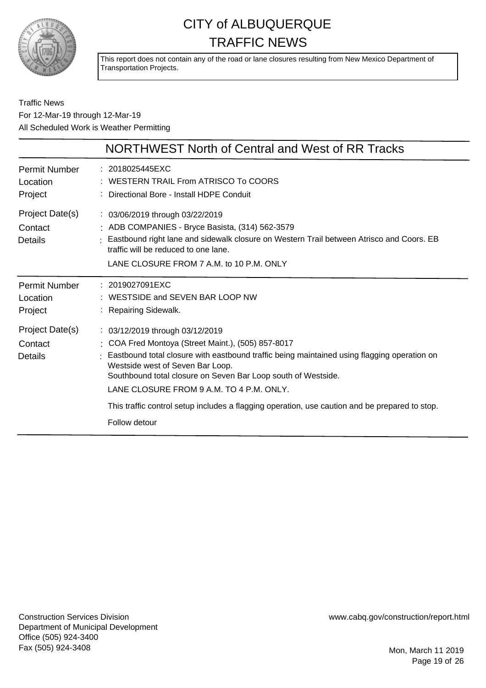

This report does not contain any of the road or lane closures resulting from New Mexico Department of Transportation Projects.

#### Traffic News For 12-Mar-19 through 12-Mar-19 All Scheduled Work is Weather Permitting

|                                              | NORTHWEST North of Central and West of RR Tracks                                                                                                                                                                                                                                                                                      |
|----------------------------------------------|---------------------------------------------------------------------------------------------------------------------------------------------------------------------------------------------------------------------------------------------------------------------------------------------------------------------------------------|
| Permit Number<br>Location<br>Project         | : 2018025445EXC<br>: WESTERN TRAIL From ATRISCO To COORS<br>: Directional Bore - Install HDPE Conduit                                                                                                                                                                                                                                 |
| Project Date(s)<br>Contact<br><b>Details</b> | : 03/06/2019 through 03/22/2019<br>: ADB COMPANIES - Bryce Basista, (314) 562-3579<br>: Eastbound right lane and sidewalk closure on Western Trail between Atrisco and Coors. EB<br>traffic will be reduced to one lane.<br>LANE CLOSURE FROM 7 A.M. to 10 P.M. ONLY                                                                  |
| Permit Number<br>Location<br>Project         | : 2019027091EXC<br>: WESTSIDE and SEVEN BAR LOOP NW<br>: Repairing Sidewalk.                                                                                                                                                                                                                                                          |
| Project Date(s)<br>Contact<br>Details        | : 03/12/2019 through 03/12/2019<br>: COA Fred Montoya (Street Maint.), (505) 857-8017<br>Eastbound total closure with eastbound traffic being maintained using flagging operation on<br>Westside west of Seven Bar Loop.<br>Southbound total closure on Seven Bar Loop south of Westside.<br>LANE CLOSURE FROM 9 A.M. TO 4 P.M. ONLY. |
|                                              | This traffic control setup includes a flagging operation, use caution and be prepared to stop.<br>Follow detour                                                                                                                                                                                                                       |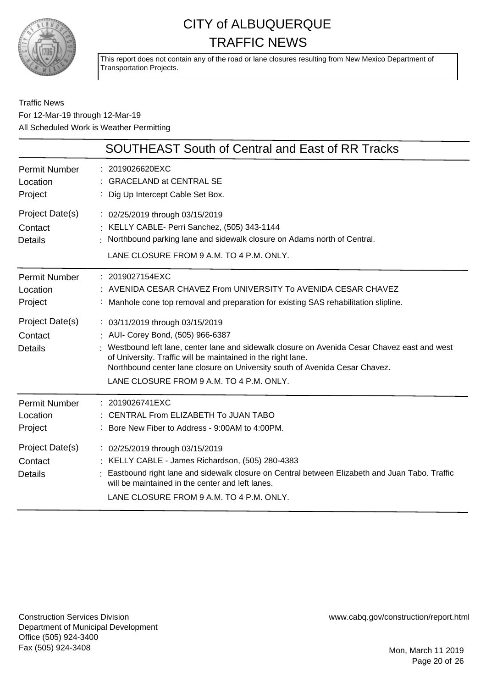

This report does not contain any of the road or lane closures resulting from New Mexico Department of Transportation Projects.

Traffic News For 12-Mar-19 through 12-Mar-19 All Scheduled Work is Weather Permitting

|                                              | <b>SOUTHEAST South of Central and East of RR Tracks</b>                                                                                                                                                                                                                                                                                                        |
|----------------------------------------------|----------------------------------------------------------------------------------------------------------------------------------------------------------------------------------------------------------------------------------------------------------------------------------------------------------------------------------------------------------------|
| <b>Permit Number</b><br>Location<br>Project  | : 2019026620EXC<br>: GRACELAND at CENTRAL SE<br>: Dig Up Intercept Cable Set Box.                                                                                                                                                                                                                                                                              |
| Project Date(s)<br>Contact<br><b>Details</b> | : 02/25/2019 through 03/15/2019<br>: KELLY CABLE- Perri Sanchez, (505) 343-1144<br>: Northbound parking lane and sidewalk closure on Adams north of Central.<br>LANE CLOSURE FROM 9 A.M. TO 4 P.M. ONLY.                                                                                                                                                       |
| <b>Permit Number</b><br>Location<br>Project  | : 2019027154EXC<br>: AVENIDA CESAR CHAVEZ From UNIVERSITY To AVENIDA CESAR CHAVEZ<br>: Manhole cone top removal and preparation for existing SAS rehabilitation slipline.                                                                                                                                                                                      |
| Project Date(s)<br>Contact<br>Details        | : 03/11/2019 through 03/15/2019<br>: AUI- Corey Bond, (505) 966-6387<br>Westbound left lane, center lane and sidewalk closure on Avenida Cesar Chavez east and west<br>of University. Traffic will be maintained in the right lane.<br>Northbound center lane closure on University south of Avenida Cesar Chavez.<br>LANE CLOSURE FROM 9 A.M. TO 4 P.M. ONLY. |
| <b>Permit Number</b><br>Location<br>Project  | : 2019026741EXC<br>: CENTRAL From ELIZABETH To JUAN TABO<br>: Bore New Fiber to Address - 9:00AM to 4:00PM.                                                                                                                                                                                                                                                    |
| Project Date(s)<br>Contact<br><b>Details</b> | : 02/25/2019 through 03/15/2019<br>: KELLY CABLE - James Richardson, (505) 280-4383<br>Eastbound right lane and sidewalk closure on Central between Elizabeth and Juan Tabo. Traffic<br>will be maintained in the center and left lanes.<br>LANE CLOSURE FROM 9 A.M. TO 4 P.M. ONLY.                                                                           |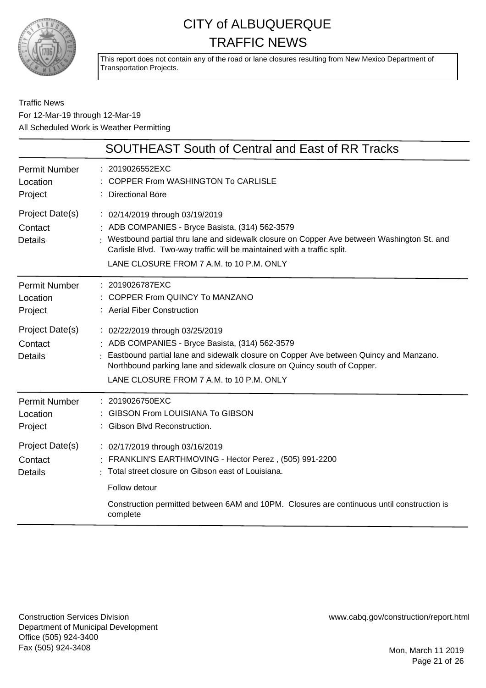

This report does not contain any of the road or lane closures resulting from New Mexico Department of Transportation Projects.

#### Traffic News For 12-Mar-19 through 12-Mar-19 All Scheduled Work is Weather Permitting

|                                              | SOUTHEAST South of Central and East of RR Tracks                                                                                                                                                                                                                                                         |
|----------------------------------------------|----------------------------------------------------------------------------------------------------------------------------------------------------------------------------------------------------------------------------------------------------------------------------------------------------------|
| <b>Permit Number</b><br>Location<br>Project  | : 2019026552EXC<br><b>COPPER From WASHINGTON To CARLISLE</b><br>: Directional Bore                                                                                                                                                                                                                       |
| Project Date(s)<br>Contact<br><b>Details</b> | : 02/14/2019 through 03/19/2019<br>: ADB COMPANIES - Bryce Basista, (314) 562-3579<br>: Westbound partial thru lane and sidewalk closure on Copper Ave between Washington St. and<br>Carlisle Blvd. Two-way traffic will be maintained with a traffic split.<br>LANE CLOSURE FROM 7 A.M. to 10 P.M. ONLY |
| <b>Permit Number</b><br>Location<br>Project  | : 2019026787EXC<br>: COPPER From QUINCY To MANZANO<br>: Aerial Fiber Construction                                                                                                                                                                                                                        |
| Project Date(s)<br>Contact<br>Details        | : 02/22/2019 through 03/25/2019<br>: ADB COMPANIES - Bryce Basista, (314) 562-3579<br>: Eastbound partial lane and sidewalk closure on Copper Ave between Quincy and Manzano.<br>Northbound parking lane and sidewalk closure on Quincy south of Copper.<br>LANE CLOSURE FROM 7 A.M. to 10 P.M. ONLY     |
| <b>Permit Number</b><br>Location<br>Project  | : 2019026750EXC<br><b>GIBSON From LOUISIANA To GIBSON</b><br>: Gibson Blvd Reconstruction.                                                                                                                                                                                                               |
| Project Date(s)<br>Contact<br><b>Details</b> | : 02/17/2019 through 03/16/2019<br>FRANKLIN'S EARTHMOVING - Hector Perez, (505) 991-2200<br>Total street closure on Gibson east of Louisiana.<br>Follow detour                                                                                                                                           |
|                                              | Construction permitted between 6AM and 10PM. Closures are continuous until construction is<br>complete                                                                                                                                                                                                   |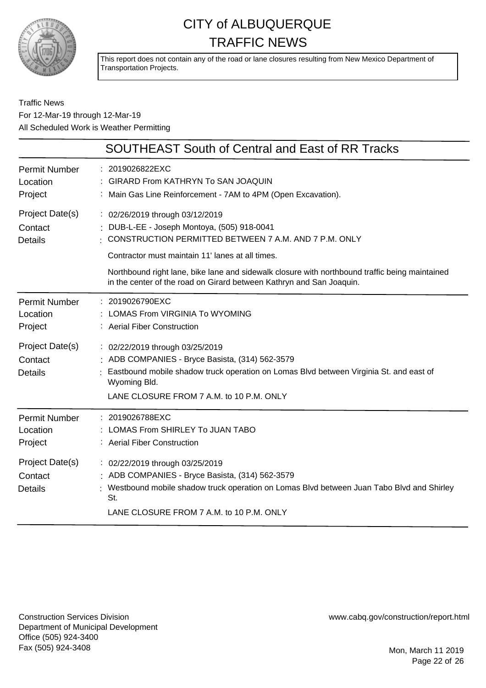

This report does not contain any of the road or lane closures resulting from New Mexico Department of Transportation Projects.

#### Traffic News For 12-Mar-19 through 12-Mar-19 All Scheduled Work is Weather Permitting

|                                              | SOUTHEAST South of Central and East of RR Tracks                                                                                                                                                                                                                                                                                                                    |
|----------------------------------------------|---------------------------------------------------------------------------------------------------------------------------------------------------------------------------------------------------------------------------------------------------------------------------------------------------------------------------------------------------------------------|
| <b>Permit Number</b><br>Location<br>Project  | : 2019026822EXC<br><b>GIRARD From KATHRYN To SAN JOAQUIN</b><br>: Main Gas Line Reinforcement - 7AM to 4PM (Open Excavation).                                                                                                                                                                                                                                       |
| Project Date(s)<br>Contact<br><b>Details</b> | : 02/26/2019 through 03/12/2019<br>DUB-L-EE - Joseph Montoya, (505) 918-0041<br>CONSTRUCTION PERMITTED BETWEEN 7 A.M. AND 7 P.M. ONLY<br>Contractor must maintain 11' lanes at all times.<br>Northbound right lane, bike lane and sidewalk closure with northbound traffic being maintained<br>in the center of the road on Girard between Kathryn and San Joaquin. |
| <b>Permit Number</b><br>Location<br>Project  | : 2019026790EXC<br>LOMAS From VIRGINIA To WYOMING<br>: Aerial Fiber Construction                                                                                                                                                                                                                                                                                    |
| Project Date(s)<br>Contact<br><b>Details</b> | : 02/22/2019 through 03/25/2019<br>: ADB COMPANIES - Bryce Basista, (314) 562-3579<br>Eastbound mobile shadow truck operation on Lomas Blvd between Virginia St. and east of<br>Wyoming Bld.<br>LANE CLOSURE FROM 7 A.M. to 10 P.M. ONLY                                                                                                                            |
| <b>Permit Number</b><br>Location<br>Project  | : 2019026788EXC<br>LOMAS From SHIRLEY To JUAN TABO<br>: Aerial Fiber Construction                                                                                                                                                                                                                                                                                   |
| Project Date(s)<br>Contact<br><b>Details</b> | : 02/22/2019 through 03/25/2019<br>ADB COMPANIES - Bryce Basista, (314) 562-3579<br>Westbound mobile shadow truck operation on Lomas Blvd between Juan Tabo Blvd and Shirley<br>St.<br>LANE CLOSURE FROM 7 A.M. to 10 P.M. ONLY                                                                                                                                     |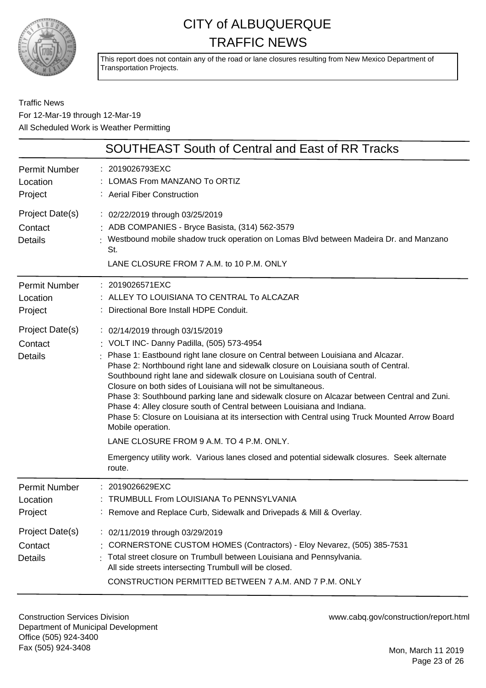

This report does not contain any of the road or lane closures resulting from New Mexico Department of Transportation Projects.

#### Traffic News For 12-Mar-19 through 12-Mar-19 All Scheduled Work is Weather Permitting

|                                              | SOUTHEAST South of Central and East of RR Tracks                                                                                                                                                                                                                                                                                                                                                                                                                                                                                                                                                                                                                                                                                                                                                                                                          |
|----------------------------------------------|-----------------------------------------------------------------------------------------------------------------------------------------------------------------------------------------------------------------------------------------------------------------------------------------------------------------------------------------------------------------------------------------------------------------------------------------------------------------------------------------------------------------------------------------------------------------------------------------------------------------------------------------------------------------------------------------------------------------------------------------------------------------------------------------------------------------------------------------------------------|
| <b>Permit Number</b><br>Location<br>Project  | : 2019026793EXC<br>LOMAS From MANZANO To ORTIZ<br>: Aerial Fiber Construction                                                                                                                                                                                                                                                                                                                                                                                                                                                                                                                                                                                                                                                                                                                                                                             |
| Project Date(s)<br>Contact<br><b>Details</b> | : 02/22/2019 through 03/25/2019<br>: ADB COMPANIES - Bryce Basista, (314) 562-3579<br>: Westbound mobile shadow truck operation on Lomas Blvd between Madeira Dr. and Manzano<br>St.<br>LANE CLOSURE FROM 7 A.M. to 10 P.M. ONLY                                                                                                                                                                                                                                                                                                                                                                                                                                                                                                                                                                                                                          |
| <b>Permit Number</b><br>Location<br>Project  | : 2019026571EXC<br>: ALLEY TO LOUISIANA TO CENTRAL To ALCAZAR<br>: Directional Bore Install HDPE Conduit.                                                                                                                                                                                                                                                                                                                                                                                                                                                                                                                                                                                                                                                                                                                                                 |
| Project Date(s)<br>Contact<br><b>Details</b> | : 02/14/2019 through 03/15/2019<br>: VOLT INC- Danny Padilla, (505) 573-4954<br>: Phase 1: Eastbound right lane closure on Central between Louisiana and Alcazar.<br>Phase 2: Northbound right lane and sidewalk closure on Louisiana south of Central.<br>Southbound right lane and sidewalk closure on Louisiana south of Central.<br>Closure on both sides of Louisiana will not be simultaneous.<br>Phase 3: Southbound parking lane and sidewalk closure on Alcazar between Central and Zuni.<br>Phase 4: Alley closure south of Central between Louisiana and Indiana.<br>Phase 5: Closure on Louisiana at its intersection with Central using Truck Mounted Arrow Board<br>Mobile operation.<br>LANE CLOSURE FROM 9 A.M. TO 4 P.M. ONLY.<br>Emergency utility work. Various lanes closed and potential sidewalk closures. Seek alternate<br>route. |
| <b>Permit Number</b><br>Location<br>Project  | : 2019026629EXC<br><b>TRUMBULL From LOUISIANA To PENNSYLVANIA</b><br>: Remove and Replace Curb, Sidewalk and Drivepads & Mill & Overlay.                                                                                                                                                                                                                                                                                                                                                                                                                                                                                                                                                                                                                                                                                                                  |
| Project Date(s)<br>Contact<br><b>Details</b> | : 02/11/2019 through 03/29/2019<br>: CORNERSTONE CUSTOM HOMES (Contractors) - Eloy Nevarez, (505) 385-7531<br>Total street closure on Trumbull between Louisiana and Pennsylvania.<br>All side streets intersecting Trumbull will be closed.<br>CONSTRUCTION PERMITTED BETWEEN 7 A.M. AND 7 P.M. ONLY                                                                                                                                                                                                                                                                                                                                                                                                                                                                                                                                                     |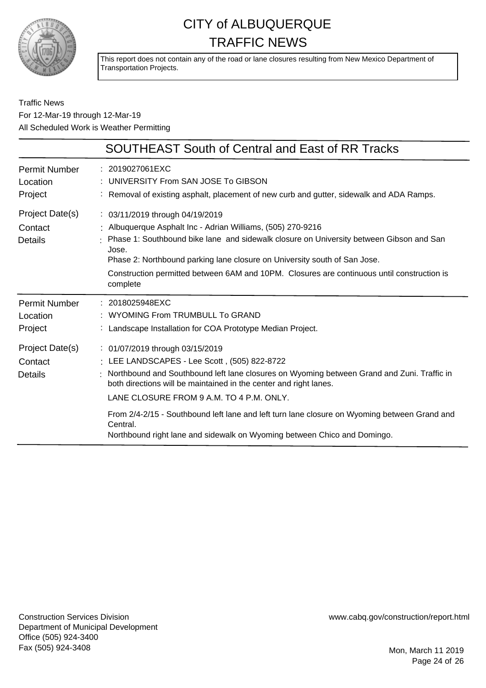

This report does not contain any of the road or lane closures resulting from New Mexico Department of Transportation Projects.

#### Traffic News For 12-Mar-19 through 12-Mar-19 All Scheduled Work is Weather Permitting

|                                              | <b>SOUTHEAST South of Central and East of RR Tracks</b>                                                                                                                                                                                                                                                                                                                                                                                                                              |
|----------------------------------------------|--------------------------------------------------------------------------------------------------------------------------------------------------------------------------------------------------------------------------------------------------------------------------------------------------------------------------------------------------------------------------------------------------------------------------------------------------------------------------------------|
| <b>Permit Number</b><br>Location<br>Project  | $: 2019027061$ EXC<br>UNIVERSITY From SAN JOSE To GIBSON<br>: Removal of existing asphalt, placement of new curb and gutter, sidewalk and ADA Ramps.                                                                                                                                                                                                                                                                                                                                 |
| Project Date(s)<br>Contact<br><b>Details</b> | : 03/11/2019 through 04/19/2019<br>: Albuquerque Asphalt Inc - Adrian Williams, (505) 270-9216<br>Phase 1: Southbound bike lane and sidewalk closure on University between Gibson and San<br>Jose.<br>Phase 2: Northbound parking lane closure on University south of San Jose.<br>Construction permitted between 6AM and 10PM. Closures are continuous until construction is<br>complete                                                                                            |
| <b>Permit Number</b><br>Location<br>Project  | : 2018025948EXC<br>: WYOMING From TRUMBULL To GRAND<br>: Landscape Installation for COA Prototype Median Project.                                                                                                                                                                                                                                                                                                                                                                    |
| Project Date(s)<br>Contact<br><b>Details</b> | : 01/07/2019 through 03/15/2019<br>LEE LANDSCAPES - Lee Scott, (505) 822-8722<br>Northbound and Southbound left lane closures on Wyoming between Grand and Zuni. Traffic in<br>both directions will be maintained in the center and right lanes.<br>LANE CLOSURE FROM 9 A.M. TO 4 P.M. ONLY.<br>From 2/4-2/15 - Southbound left lane and left turn lane closure on Wyoming between Grand and<br>Central.<br>Northbound right lane and sidewalk on Wyoming between Chico and Domingo. |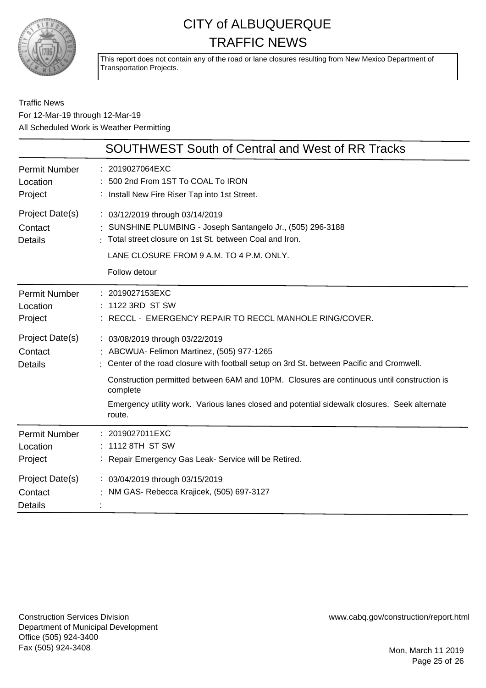

This report does not contain any of the road or lane closures resulting from New Mexico Department of Transportation Projects.

#### Traffic News For 12-Mar-19 through 12-Mar-19 All Scheduled Work is Weather Permitting

|                                                                                      | <b>SOUTHWEST South of Central and West of RR Tracks</b>                                                                                                                                                                                                                                                                                                                                      |
|--------------------------------------------------------------------------------------|----------------------------------------------------------------------------------------------------------------------------------------------------------------------------------------------------------------------------------------------------------------------------------------------------------------------------------------------------------------------------------------------|
| <b>Permit Number</b><br>Location<br>Project                                          | : 2019027064EXC<br>: 500 2nd From 1ST To COAL To IRON<br>: Install New Fire Riser Tap into 1st Street.                                                                                                                                                                                                                                                                                       |
| Project Date(s)<br>Contact<br><b>Details</b>                                         | : 03/12/2019 through 03/14/2019<br>SUNSHINE PLUMBING - Joseph Santangelo Jr., (505) 296-3188<br>: Total street closure on 1st St. between Coal and Iron.<br>LANE CLOSURE FROM 9 A.M. TO 4 P.M. ONLY.<br>Follow detour                                                                                                                                                                        |
| Permit Number<br>Location<br>Project                                                 | : 2019027153EXC<br>: 1122 3RD ST SW<br>: RECCL - EMERGENCY REPAIR TO RECCL MANHOLE RING/COVER.                                                                                                                                                                                                                                                                                               |
| Project Date(s)<br>Contact<br><b>Details</b>                                         | : 03/08/2019 through 03/22/2019<br>ABCWUA- Felimon Martinez, (505) 977-1265<br>: Center of the road closure with football setup on 3rd St. between Pacific and Cromwell.<br>Construction permitted between 6AM and 10PM. Closures are continuous until construction is<br>complete<br>Emergency utility work. Various lanes closed and potential sidewalk closures. Seek alternate<br>route. |
| Permit Number<br>Location<br>Project<br>Project Date(s)<br>Contact<br><b>Details</b> | : 2019027011EXC<br>1112 8TH ST SW<br>: Repair Emergency Gas Leak- Service will be Retired.<br>: 03/04/2019 through 03/15/2019<br>NM GAS- Rebecca Krajicek, (505) 697-3127                                                                                                                                                                                                                    |